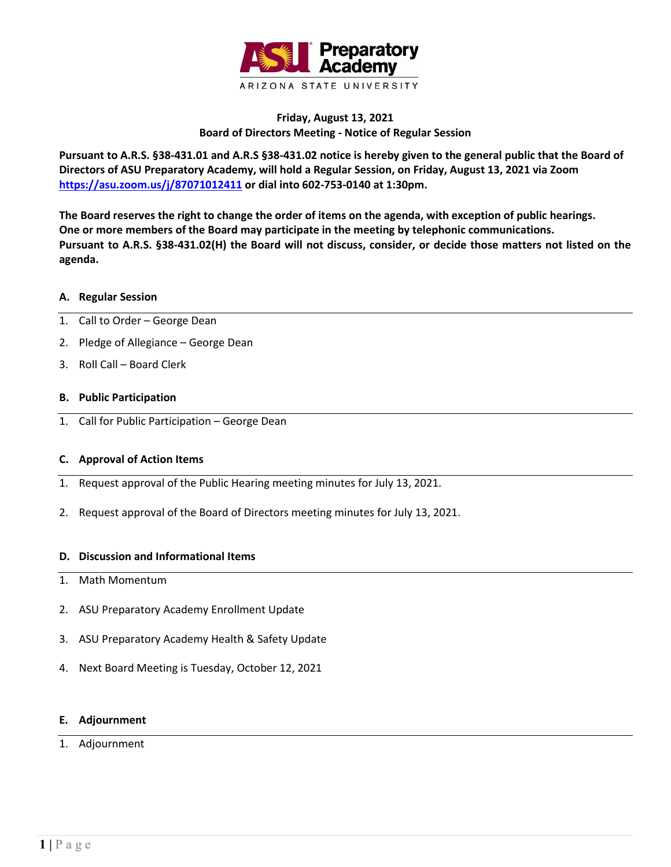

# **Friday, August 13, 2021 Board of Directors Meeting - Notice of Regular Session**

**Pursuant to A.R.S. §38-431.01 and A.R.S §38-431.02 notice is hereby given to the general public that the Board of Directors of ASU Preparatory Academy, will hold a Regular Session, on Friday, August 13, 2021 via Zoom <https://asu.zoom.us/j/87071012411> or dial into 602-753-0140 at 1:30pm.**

**The Board reserves the right to change the order of items on the agenda, with exception of public hearings. One or more members of the Board may participate in the meeting by telephonic communications. Pursuant to A.R.S. §38-431.02(H) the Board will not discuss, consider, or decide those matters not listed on the agenda.**

### **A. Regular Session**

- 1. Call to Order George Dean
- 2. Pledge of Allegiance George Dean
- 3. Roll Call Board Clerk

## **B. Public Participation**

1. Call for Public Participation – George Dean

### **C. Approval of Action Items**

- 1. Request approval of the Public Hearing meeting minutes for July 13, 2021.
- 2. Request approval of the Board of Directors meeting minutes for July 13, 2021.

### **D. Discussion and Informational Items**

- 1. Math Momentum
- 2. ASU Preparatory Academy Enrollment Update
- 3. ASU Preparatory Academy Health & Safety Update
- 4. Next Board Meeting is Tuesday, October 12, 2021

### **E. Adjournment**

### 1. Adjournment